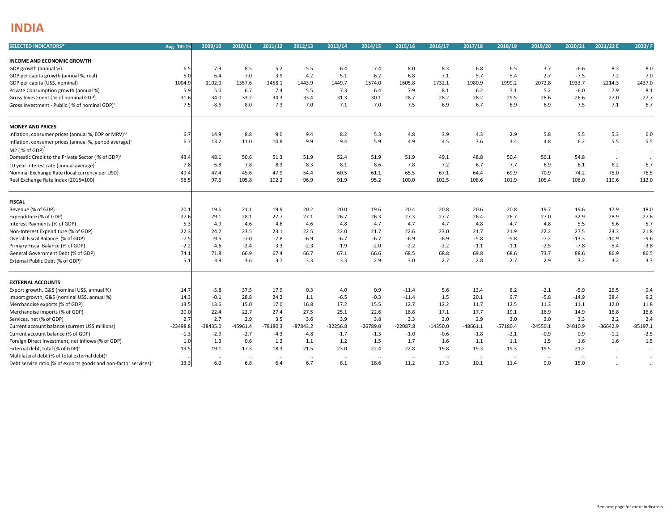## **INDIA**

| <b>SELECTED INDICATORS*</b>                                                              | Avg. '00-15 | 2009/10              | 2010/11    | 2011/12          | 2012/13    | 2013/14    | 2014/15          | 2015/16      | 2016/17          | 2017/18    | 2018/19    | 2019/20    | 2020/21   | 2021/22 E     | 2022/ F          |
|------------------------------------------------------------------------------------------|-------------|----------------------|------------|------------------|------------|------------|------------------|--------------|------------------|------------|------------|------------|-----------|---------------|------------------|
| INCOME AND ECONOMIC GROWTH                                                               |             |                      |            |                  |            |            |                  |              |                  |            |            |            |           |               |                  |
| GDP growth (annual %)                                                                    | 6.5         | 7.9                  | 8.5        | 5.2              | 5.5        | 6.4        | 7.4              | 8.0          | 8.3              | 6.8        | 6.5        | 3.7        | $-6.6$    | 8.3           | 8.0              |
| GDP per capita growth (annual %, real)                                                   | 5.0         | 6.4                  | 7.0        | 3.9              | 4.2        | 5.1        | 6.2              | 6.8          | 7.1              | 5.7        | 5.4        | 2.7        | $-7.5$    | 7.2           | 7.0              |
| GDP per capita (US\$, nominal)                                                           | 1004.9      | 1102.0               | 1357.6     | 1458.1           | 1443.9     | 1449.7     | 1574.0           | 1605.8       | 1732.1           | 1980.9     | 1999.2     | 2072.8     | 1933.7    | 2214.3        | 2437.0           |
| Private Consumption growth (annual %)                                                    | 5.9         | 5.0                  | 6.7        | 7.4              | 5.5        | 7.3        | 6.4              | 7.9          | 8.1              | 6.2        | 7.1        | 5.2        | $-6.0$    | 7.9           | 8.1              |
| Gross Investment (% of nominal GDP)                                                      | 31.6        | 34.0                 | 33.2       | 34.3             | 33.4       | 31.3       | 30.1             | 28.7         | 28.2             | 28.2       | 29.5       | 28.6       | 26.6      | 27.0          | 27.7             |
| Gross Investment - Public (% of nominal GDP) <sup>2</sup>                                | 7.5         | 8.6                  | 8.0        | 7.3              | 7.0        | 7.1        | 7.0              | 7.5          | 6.9              | 6.7        | 6.9        | 6.9        | 7.5       | 7.1           | 6.7              |
| <b>MONEY AND PRICES</b>                                                                  |             |                      |            |                  |            |            |                  |              |                  |            |            |            |           |               |                  |
| Inflation, consumer prices (annual %, EOP or MRV) <sup>1,3</sup>                         | 6.7         | 14.9                 | 8.8        | 9.0              | 9.4        | 8.2        | 5.3              | 4.8          | 3.9              | 4.3        | 2.9        | 5.8        | 5.5       | 5.3           | 6.0              |
| Inflation, consumer prices (annual %, period average) <sup>3</sup>                       | 6.7         | 13.2                 | 11.0       | 10.8             | 9.9        | 9.4        | 5.9              | 4.9          | 4.5              | 3.6        | 3.4        | 4.8        | 6.2       | 5.5           | 5.5              |
| M <sub>2</sub> (% of GDP)                                                                |             |                      | $\cdots$   |                  | $\ddotsc$  | $\cdot$    |                  | $\cdot\cdot$ |                  | $\ddotsc$  | $\cdots$   |            | $\cdots$  | $\sim$        | $\ddotsc$        |
| Domestic Credit to the Private Sector (% of GDP) <sup>2</sup>                            | 43.4        | $\cdots$<br>48.1     | 50.6       | $\cdots$<br>51.3 | 51.9       | 52.4       | $\ldots$<br>51.9 | 51.9         | $\cdots$<br>49.1 | 48.8       | 50.4       | 50.1       | 54.8      |               |                  |
|                                                                                          | 7.8         | 6.8                  | 7.8        | 8.3              | 8.3        | 8.1        | 8.6              | 7.8          | 7.2              | 6.7        | 7.7        | 6.9        | 6.1       | $\sim$<br>6.2 | $\ddotsc$<br>6.7 |
| 10 year interest rate (annual average)<br>Nominal Exchange Rate (local currency per USD) | 49.4        | 47.4                 | 45.6       | 47.9             | 54.4       | 60.5       | 61.1             | 65.5         | 67.1             | 64.4       | 69.9       | 70.9       | 74.2      | 75.0          | 76.5             |
|                                                                                          | 98.5        | 97.6                 | 105.8      | 102.2            | 96.9       | 91.9       | 95.2             | 100.0        | 102.5            | 108.6      | 101.9      | 105.4      | 106.0     | 110.6         |                  |
| Real Exchange Rate Index (2015=100)                                                      |             |                      |            |                  |            |            |                  |              |                  |            |            |            |           |               | 112.0            |
| <b>FISCAL</b>                                                                            |             |                      |            |                  |            |            |                  |              |                  |            |            |            |           |               |                  |
| Revenue (% of GDP)                                                                       | 20.1        | 19.6                 | 21.1       | 19.9             | 20.2       | 20.0       | 19.6             | 20.4         | 20.8             | 20.6       | 20.8       | 19.7       | 19.6      | 17.9          | 18.0             |
| Expenditure (% of GDP)                                                                   | 27.6        | 29.1                 | 28.1       | 27.7             | 27.1       | 26.7       | 26.3             | 27.3         | 27.7             | 26.4       | 26.7       | 27.0       | 32.9      | 28.9          | 27.6             |
| Interest Payments (% of GDP)                                                             | 5.3         | 4.9                  | 4.6        | 4.6              | 4.6        | 4.8        | 4.7              | 4.7          | 4.7              | 4.8        | 4.7        | 4.8        | 5.5       | 5.6           | 5.7              |
| Non-Interest Expenditure (% of GDP)                                                      | 22.3        | 24.2                 | 23.5       | 23.1             | 22.5       | 22.0       | 21.7             | 22.6         | 23.0             | 21.7       | 21.9       | 22.2       | 27.5      | 23.3          | 21.8             |
| Overall Fiscal Balance (% of GDP)                                                        | $-7.5$      | $-9.5$               | $-7.0$     | $-7.8$           | $-6.9$     | $-6.7$     | $-6.7$           | $-6.9$       | $-6.9$           | $-5.8$     | $-5.8$     | $-7.2$     | $-13.3$   | $-10.9$       | $-9.6$           |
| Primary Fiscal Balance (% of GDP)                                                        | $-2.2$      | $-4.6$               | $-2.4$     | $-3.3$           | $-2.3$     | $-1.9$     | $-2.0$           | $-2.2$       | $-2.2$           | $-1.1$     | $-1.1$     | $-2.5$     | $-7.8$    | $-5.4$        | $-3.8$           |
| General Government Debt (% of GDP)                                                       | 74.1        | 71.8                 | 66.9       | 67.4             | 66.7       | 67.1       | 66.6             | 68.5         | 68.8             | 69.8       | 68.6       | 73.7       | 88.6      | 86.9          | 86.5             |
| External Public Debt (% of GDP) <sup>2</sup>                                             | 5.1         | 3.9                  | 3.6        | 3.7              | 3.3        | 3.3        | 2.9              | 3.0          | 2.7              | 2.8        | 2.7        | 2.9        | 3.2       | 3.2           | 3.3              |
| <b>EXTERNAL ACCOUNTS</b>                                                                 |             |                      |            |                  |            |            |                  |              |                  |            |            |            |           |               |                  |
| Export growth, G&S (nominal US\$, annual %)                                              | 14.7        | $-5.8$               | 37.5       | 17.9             | 0.3        | 4.0        | 0.9              | $-11.4$      | 5.6              | 13.4       | 8.2        | $-2.1$     | $-5.9$    | 26.5          | 9.4              |
| Import growth, G&S (nominal US\$, annual %)                                              | 14.3        | $-0.1$               | 28.8       | 24.2             | 1.1        | $-6.5$     | $-0.3$           | $-11.4$      | 1.5              | 20.1       | 9.7        | $-5.8$     | $-14.9$   | 38.4          | 9.2              |
| Merchandise exports (% of GDP)                                                           | 13.5        | 13.6                 | 15.0       | 17.0             | 16.8       | 17.2       | 15.5             | 12.7         | 12.2             | 11.7       | 12.5       | 11.3       | 11.1      | 12.0          | 11.8             |
| Merchandise imports (% of GDP)                                                           | 20.0        | 22.4                 | 22.7       | 27.4             | 27.5       | 25.1       | 22.6             | 18.8         | 17.1             | 17.7       | 19.1       | 16.9       | 14.9      | 16.8          | 16.6             |
| Services, net (% of GDP)                                                                 | 2.7         | 2.7                  | 2.9        | 3.5              | 3.6        | 3.9        | 3.8              | 3.3          | 3.0              | 2.9        | 3.0        | 3.0        | 3.3       | 2.2           | 2.4              |
| Current account balance (current US\$ millions)                                          | $-23498.8$  | $-38435.0$           | $-45961.4$ | $-78180.3$       | $-87843.2$ | $-32256.8$ | $-26789.0$       | $-22087.8$   | $-14350.0$       | $-48661.1$ | $-57180.4$ | $-24550.1$ | 24010.9   | $-36642.9$    | $-85197.1$       |
| Current account balance (% of GDP)                                                       | $-1.3$      | $-2.9$               | $-2.7$     | $-4.3$           | $-4.8$     | $-1.7$     | $-1.3$           | $-1.0$       | $-0.6$           | $-1.8$     | $-2.1$     | $-0.9$     | 0.9       | $-1.2$        | $-2.5$           |
| Foreign Direct Investment, net inflows (% of GDP)                                        | 1.0         | 1.3                  | 0.6        | 1.2              | 1.1        | 1.2        | 1.5              | 1.7          | 1.6              | 1.1        | 1.1        | 1.5        | 1.6       | 1.6           | 1.5              |
| External debt, total (% of GDP) <sup>2</sup>                                             | 19.5        | 19.1                 | 17.3       | 18.3             | 21.5       | 23.0       | 22.4             | 22.8         | 19.8             | 19.3       | 19.3       | 19.5       | 21.2      | $\ldots$      | $\ddotsc$        |
| Multilateral debt (% of total external debt) <sup>2</sup>                                |             | $\ddot{\phantom{a}}$ | $\ddotsc$  | $\ddotsc$        | $\ddotsc$  | $\ddotsc$  | $\ddotsc$        | $\ddotsc$    | $\ddotsc$        | $\ddots$   | $\ddots$   | $\ddotsc$  | $\ddotsc$ |               | $\ldots$         |
| Debt service ratio (% of exports goods and non-factor services) <sup>2</sup>             | 13.3        | 6.0                  | 6.8        | 6.4              | 6.7        | 8.1        | 18.6             | 11.2         | 17.3             | 10.1       | 11.4       | 9.0        | 15.0      | $\sim$        | $\ddotsc$        |